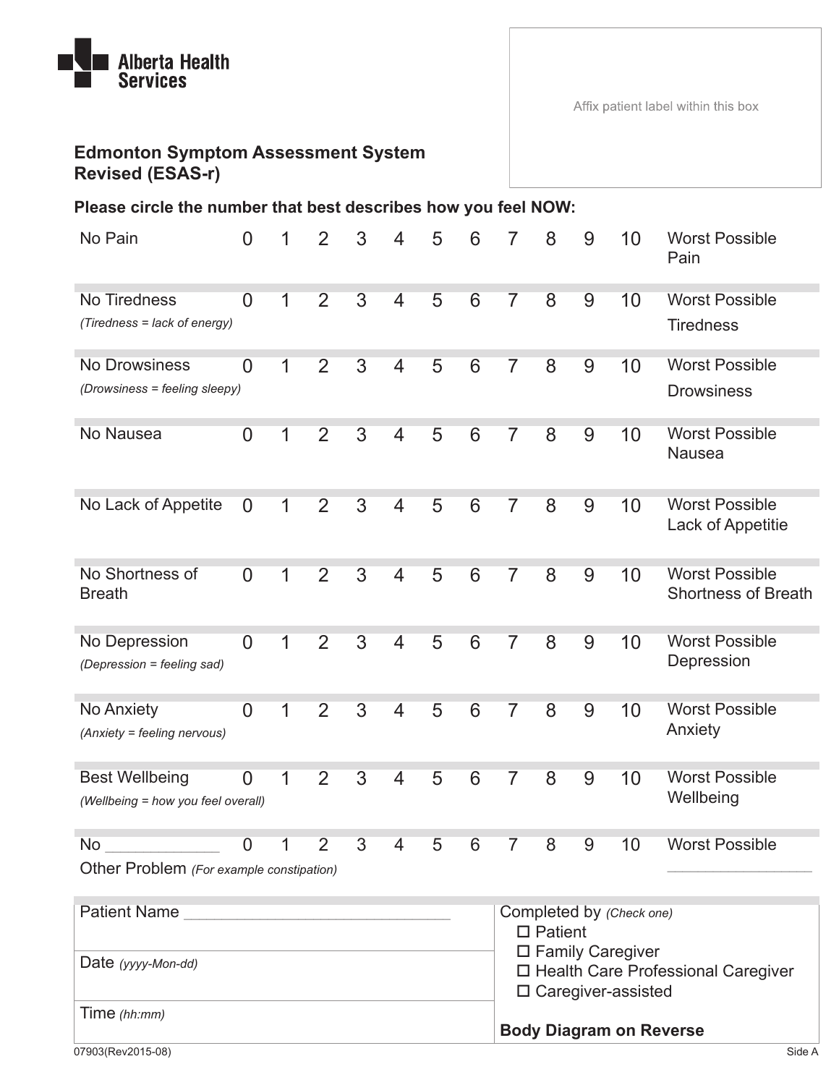

## **Edmonton Symptom Assessment System Revised (ESAS-r)**

## **Please circle the number that best describes how you feel NOW:**

| No Pain                                                     | $\overline{0}$ | 1 | $\overline{2}$ | 3              | 4                        | 5 | 6               |                                                                                                                                             | 8              | 9        | 10 | <b>Worst Possible</b><br>Pain                       |                                |
|-------------------------------------------------------------|----------------|---|----------------|----------------|--------------------------|---|-----------------|---------------------------------------------------------------------------------------------------------------------------------------------|----------------|----------|----|-----------------------------------------------------|--------------------------------|
| No Tiredness                                                | $\overline{0}$ | 1 | $\overline{2}$ | $\overline{3}$ | 4                        | 5 | 6               | 7                                                                                                                                           | $\overline{8}$ | 9        | 10 | <b>Worst Possible</b>                               |                                |
| (Tiredness = lack of energy)                                |                |   |                |                |                          |   |                 |                                                                                                                                             |                |          |    | <b>Tiredness</b>                                    |                                |
| <b>No Drowsiness</b>                                        | $\overline{0}$ | 1 | $\overline{2}$ | $\overline{3}$ | 4                        | 5 | $6\overline{6}$ | 7                                                                                                                                           | 8              | 9        | 10 | <b>Worst Possible</b>                               |                                |
| (Drowsiness = feeling sleepy)                               |                |   |                |                |                          |   |                 |                                                                                                                                             |                |          |    | <b>Drowsiness</b>                                   |                                |
| No Nausea                                                   | $\overline{0}$ | 1 | $\overline{2}$ | $\overline{3}$ | $\overline{4}$           | 5 | 6               | 7                                                                                                                                           | 8              | 9        | 10 | <b>Worst Possible</b><br><b>Nausea</b>              |                                |
| No Lack of Appetite                                         | $\overline{0}$ | 1 | $\overline{2}$ | $\overline{3}$ | $\overline{4}$           | 5 | $6\overline{6}$ | 7                                                                                                                                           | 8              | 9        | 10 | <b>Worst Possible</b><br>Lack of Appetitie          |                                |
| No Shortness of<br><b>Breath</b>                            | $\overline{0}$ | 1 | $\overline{2}$ | $\overline{3}$ | $\overline{4}$           | 5 | 6               | 7                                                                                                                                           | $\overline{8}$ | 9        | 10 | <b>Worst Possible</b><br><b>Shortness of Breath</b> |                                |
| No Depression<br>(Depression = feeling sad)                 | $\overline{0}$ | 1 | $\overline{2}$ | 3              | $\overline{\mathcal{A}}$ | 5 | 6               | 7                                                                                                                                           | 8              | 9        | 10 | <b>Worst Possible</b><br>Depression                 |                                |
| No Anxiety<br>(Anxiety = feeling nervous)                   | $\overline{0}$ |   | $\overline{2}$ | $\overline{3}$ | 4                        | 5 | 6               |                                                                                                                                             | $\overline{8}$ | 9        | 10 | <b>Worst Possible</b><br>Anxiety                    |                                |
| <b>Best Wellbeing</b><br>(Wellbeing = how you feel overall) | $\Omega$       | 1 | $\overline{2}$ | 3              | 4                        | 5 | 6               | 7                                                                                                                                           | 8              | 9        | 10 | <b>Worst Possible</b><br>Wellbeing                  |                                |
| No                                                          |                |   |                |                | 0 1 2 3 4 5              |   | 6               | $\sqrt{2}$                                                                                                                                  | 8              | $9 \t10$ |    | <b>Worst Possible</b>                               |                                |
| Other Problem (For example constipation)                    |                |   |                |                |                          |   |                 |                                                                                                                                             |                |          |    |                                                     |                                |
| <b>Patient Name</b>                                         |                |   |                |                |                          |   |                 | Completed by (Check one)<br>$\square$ Patient<br>□ Family Caregiver<br>□ Health Care Professional Caregiver<br>$\square$ Caregiver-assisted |                |          |    |                                                     |                                |
|                                                             |                |   |                |                |                          |   |                 |                                                                                                                                             |                |          |    |                                                     | Date (yyyy-Mon-dd)             |
| Time (hh:mm)                                                |                |   |                |                |                          |   |                 |                                                                                                                                             |                |          |    |                                                     | <b>Body Diagram on Reverse</b> |
| 07903(Rev2015-08)                                           |                |   |                |                |                          |   |                 |                                                                                                                                             |                |          |    | Side A                                              |                                |